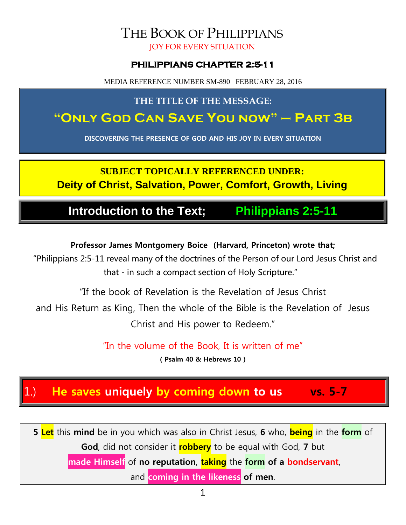# THE BOOK OF PHILIPPIANS

JOY FOR EVERY SITUATION

#### **PHILIPPIANS CHAPTER 2:5-11**

MEDIA REFERENCE NUMBER SM-890 FEBRUARY 28, 2016

#### **THE TITLE OF THE MESSAGE:**

## **"Only God Can Save You now" – Part 3b**

**DISCOVERING THE PRESENCE OF GOD AND HIS JOY IN EVERY SITUATION**

## **SUBJECT TOPICALLY REFERENCED UNDER: Deity of Christ, Salvation, Power, Comfort, Growth, Living**

## **Introduction to the Text; Philippians 2:5-11**

#### **Professor James Montgomery Boice (Harvard, Princeton) wrote that;**

"Philippians 2:5-11 reveal many of the doctrines of the Person of our Lord Jesus Christ and that - in such a compact section of Holy Scripture."

"If the book of Revelation is the Revelation of Jesus Christ

and His Return as King, Then the whole of the Bible is the Revelation of Jesus Christ and His power to Redeem."

"In the volume of the Book, It is written of me"

**( Psalm 40 & Hebrews 10 )**

## 1.) **He saves uniquely by coming down to us vs. 5-7**

**5 Let** this **mind** be in you which was also in Christ Jesus, **6** who, **being** in the **form** of **God**, did not consider it **robbery** to be equal with God, **7** but

**made Himself** of **no reputation**, **taking** the **form of a bondservant**,

and **coming in the likeness of men**.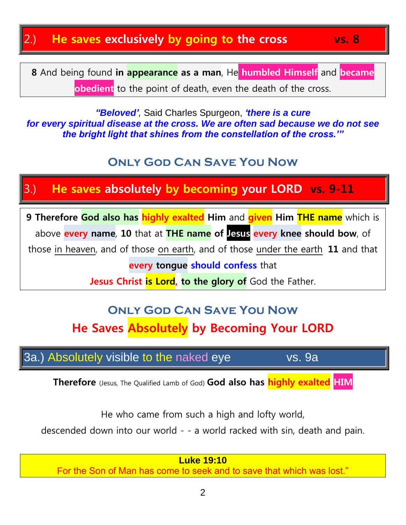## 2.) **He saves exclusively by going to the cross vs. 8**

**8** And being found **in appearance as a man**, He **humbled Himself** and **became obedient** to the point of death, even the death of the cross.

*"Beloved',* Said Charles Spurgeon, *'there is a cure for every spiritual disease at the cross. We are often sad because we do not see the bright light that shines from the constellation of the cross.'"*

## **Only God Can Save You Now**

## 3.) **He saves absolutely by becoming your LORD vs. 9-11**

**9 Therefore God also has highly exalted Him** and **given Him THE name** which is above **every name**, **10** that at **THE name of Jesus every knee should bow**, of those in heaven, and of those on earth, and of those under the earth, **11** and that **every tongue should confess** that

**Jesus Christ is Lord, to the glory of** God the Father.

# **Only God Can Save You Now He Saves Absolutely by Becoming Your LORD**

3a.) Absolutely visible to the naked eye vs. 9a

**Therefore** (Jesus, The Qualified Lamb of God) **God also has highly exalted HIM**

He who came from such a high and lofty world,

descended down into our world - - a world racked with sin, death and pain.

**Luke 19:10** For the Son of Man has come to seek and to save that which was lost."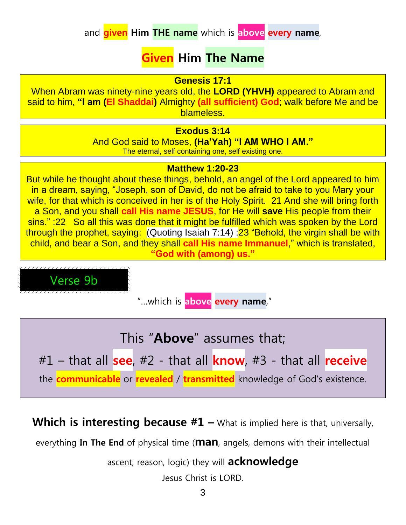## **Given Him The Name**

#### **Genesis 17:1**

When Abram was ninety-nine years old, the **LORD (YHVH)** appeared to Abram and said to him, **"I am (El Shaddai)** Almighty **(all sufficient) God**; walk before Me and be blameless.

#### **Exodus 3:14**

And God said to Moses, **(Ha'Yah) "I AM WHO I AM."** The eternal, self containing one, self existing one.

#### **Matthew 1:20-23**

But while he thought about these things, behold, an angel of the Lord appeared to him in a dream, saying, "Joseph, son of David, do not be afraid to take to you Mary your wife, for that which is conceived in her is of the Holy Spirit. 21 And she will bring forth a Son, and you shall **call His name JESUS**, for He will **save** His people from their sins." :22 So all this was done that it might be fulfilled which was spoken by the Lord through the prophet, saying: (Quoting Isaiah 7:14) :23 "Behold, the virgin shall be with child, and bear a Son, and they shall **call His name Immanuel**," which is translated, **"God with (among) us."**

Verse 9b

"…which is **above every name**,"

This "**Above**" assumes that;

#1 – that all **see**, #2 - that all **know**, #3 - that all **receive**

the **communicable** or **revealed** / **transmitted** knowledge of God's existence.

**Which is interesting because #1** – What is implied here is that, universally,

everything **In The End** of physical time (**man**, angels, demons with their intellectual

ascent, reason, logic) they will **acknowledge**

Jesus Christ is LORD.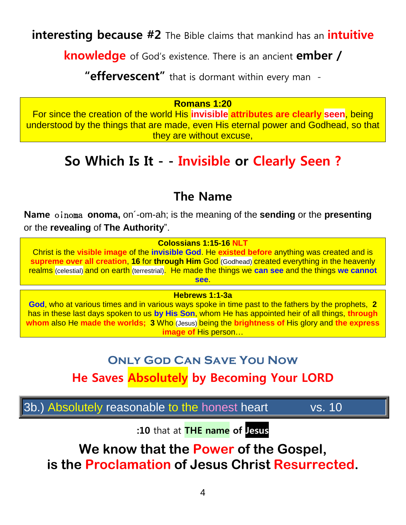**interesting because #2** The Bible claims that mankind has an **intuitive** 

**knowledge** of God's existence. There is an ancient **ember /** 

**"effervescent"** that is dormant within every man -

#### **Romans 1:20**

For since the creation of the world His **invisible attributes are clearly seen**, being understood by the things that are made, even His eternal power and Godhead, so that they are without excuse,

## **So Which Is It - - Invisible or Clearly Seen ?**

## **The Name**

**Name** oinoma **onoma**, on<sup>-</sup>om-ah; is the meaning of the **sending** or the **presenting** or the **revealing** of **The Authority**".

**Colossians 1:15-16 NLT**

Christ is the **visible image** of the **invisible God**. He **existed before** anything was created and is **supreme over all creation**, **16** for **through Him** God (Godhead) created everything in the heavenly realms (celestial) and on earth (terrestrial). He made the things we **can see** and the things **we cannot see**.

**Hebrews 1:1-3a**

**God**, who at various times and in various ways spoke in time past to the fathers by the prophets, **2** has in these last days spoken to us **by His Son**, whom He has appointed heir of all things, **through whom** also He **made the worlds; 3** Who (Jesus) being the **brightness of** His glory and **the express image of** His person…

## **Only God Can Save You Now**

**He Saves Absolutely by Becoming Your LORD**

3b.) Absolutely reasonable to the honest heart vs. 10

**:10** that at **THE name of Jesus**

**We know that the Power of the Gospel, is the Proclamation of Jesus Christ Resurrected.**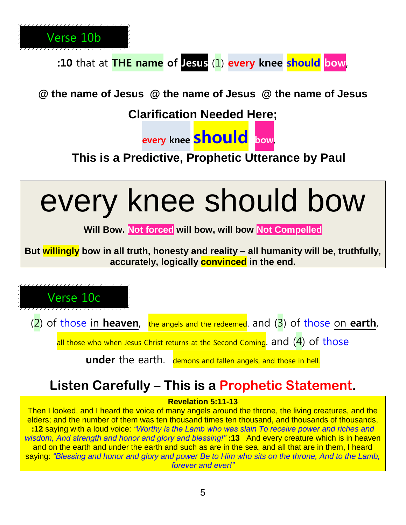

**:10** that at **THE name of Jesus** (1) **every knee should bow**,

**@ the name of Jesus @ the name of Jesus @ the name of Jesus** 

**Clarification Needed Here;**



**This is a Predictive, Prophetic Utterance by Paul**



#### **Revelation 5:11-13**

Then I looked, and I heard the voice of many angels around the throne, the living creatures, and the elders; and the number of them was ten thousand times ten thousand, and thousands of thousands, **:12** saying with a loud voice: *"Worthy is the Lamb who was slain To receive power and riches and wisdom, And strength and honor and glory and blessing!"* **:13** And every creature which is in heaven and on the earth and under the earth and such as are in the sea, and all that are in them, I heard saying: *"Blessing and honor and glory and power Be to Him who sits on the throne, And to the Lamb, forever and ever!"*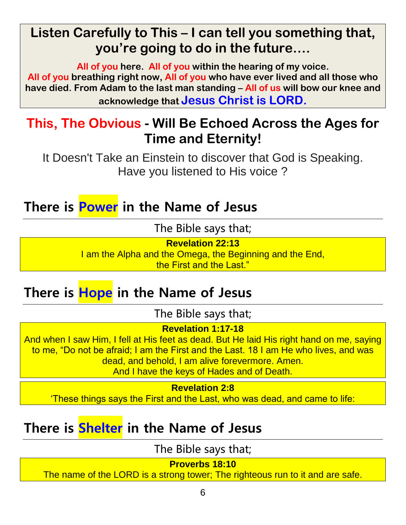# **Listen Carefully to This – I can tell you something that, you're going to do in the future….**

**All of you here. All of you within the hearing of my voice. All of you breathing right now, All of you who have ever lived and all those who have died. From Adam to the last man standing – All of us will bow our knee and acknowledge that Jesus Christ is LORD.**

# **This, The Obvious - Will Be Echoed Across the Ages for Time and Eternity!**

It Doesn't Take an Einstein to discover that God is Speaking. Have you listened to His voice ?

**There is Power in the Name of Jesus**

The Bible says that;

**Revelation 22:13**

I am the Alpha and the Omega, the Beginning and the End, the First and the Last."

# **There is Hope in the Name of Jesus**

The Bible says that;

**Revelation 1:17-18**

And when I saw Him, I fell at His feet as dead. But He laid His right hand on me, saying to me, "Do not be afraid; I am the First and the Last. 18 I am He who lives, and was dead, and behold, I am alive forevermore. Amen.

And I have the keys of Hades and of Death.

**Revelation 2:8**

'These things says the First and the Last, who was dead, and came to life:

# **There is Shelter in the Name of Jesus**

The Bible says that;

**Proverbs 18:10**

The name of the LORD is a strong tower; The righteous run to it and are safe.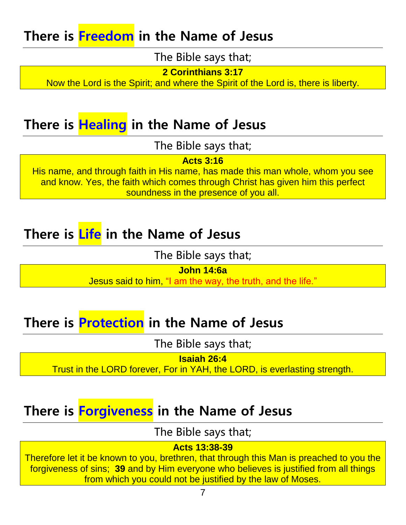# **There is Freedom in the Name of Jesus**

The Bible says that;

**2 Corinthians 3:17**

Now the Lord is the Spirit; and where the Spirit of the Lord is, there is liberty.

## **There is Healing in the Name of Jesus**

The Bible says that;

**Acts 3:16**

His name, and through faith in His name, has made this man whole, whom you see and know. Yes, the faith which comes through Christ has given him this perfect soundness in the presence of you all.

## **There is Life in the Name of Jesus**

The Bible says that;

**John 14:6a**

Jesus said to him, "I am the way, the truth, and the life."

# **There is Protection in the Name of Jesus**

The Bible says that;

**Isaiah 26:4**

Trust in the LORD forever, For in YAH, the LORD, is everlasting strength.

# **There is Forgiveness in the Name of Jesus**

The Bible says that;

#### **Acts 13:38-39**

Therefore let it be known to you, brethren, that through this Man is preached to you the forgiveness of sins; **39** and by Him everyone who believes is justified from all things from which you could not be justified by the law of Moses.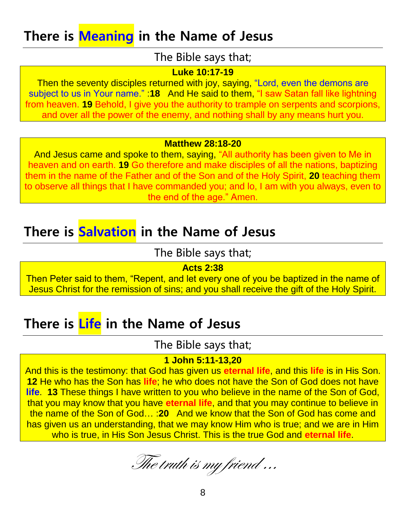# **There is Meaning in the Name of Jesus**

#### The Bible says that;

#### **Luke 10:17-19**

Then the seventy disciples returned with joy, saying, "Lord, even the demons are subject to us in Your name." :**18** And He said to them, "I saw Satan fall like lightning from heaven. **19** Behold, I give you the authority to trample on serpents and scorpions, and over all the power of the enemy, and nothing shall by any means hurt you.

#### **Matthew 28:18-20**

And Jesus came and spoke to them, saying, "All authority has been given to Me in heaven and on earth. **19** Go therefore and make disciples of all the nations, baptizing them in the name of the Father and of the Son and of the Holy Spirit, **20** teaching them to observe all things that I have commanded you; and lo, I am with you always, even to the end of the age." Amen.

# **There is Salvation in the Name of Jesus**

The Bible says that;

#### **Acts 2:38**

Then Peter said to them, "Repent, and let every one of you be baptized in the name of Jesus Christ for the remission of sins; and you shall receive the gift of the Holy Spirit.

## **There is Life in the Name of Jesus**

### The Bible says that;

#### **1 John 5:11-13,20**

And this is the testimony: that God has given us **eternal life**, and this **life** is in His Son. **12** He who has the Son has **life**; he who does not have the Son of God does not have **life**. **13** These things I have written to you who believe in the name of the Son of God, that you may know that you have **eternal life**, and that you may continue to believe in the name of the Son of God… :**20** And we know that the Son of God has come and has given us an understanding, that we may know Him who is true; and we are in Him who is true, in His Son Jesus Christ. This is the true God and **eternal life**.

The truth is my friend …